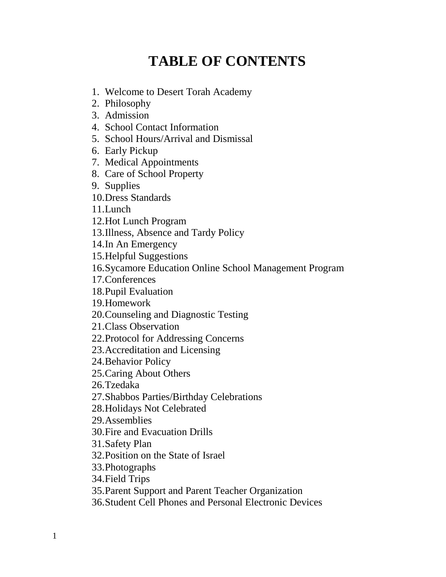# **TABLE OF CONTENTS**

- 1. Welcome to Desert Torah Academy
- 2. Philosophy
- 3. Admission
- 4. School Contact Information
- 5. School Hours/Arrival and Dismissal
- 6. Early Pickup
- 7. Medical Appointments
- 8. Care of School Property
- 9. Supplies
- 10.Dress Standards
- 11.Lunch
- 12.Hot Lunch Program
- 13.Illness, Absence and Tardy Policy
- 14.In An Emergency
- 15.Helpful Suggestions
- 16.Sycamore Education Online School Management Program
- 17.Conferences
- 18.Pupil Evaluation
- 19.Homework
- 20.Counseling and Diagnostic Testing
- 21.Class Observation
- 22.Protocol for Addressing Concerns
- 23.Accreditation and Licensing
- 24.Behavior Policy
- 25.Caring About Others
- 26.Tzedaka
- 27.Shabbos Parties/Birthday Celebrations
- 28.Holidays Not Celebrated
- 29.Assemblies
- 30.Fire and Evacuation Drills
- 31.Safety Plan
- 32.Position on the State of Israel
- 33.Photographs
- 34.Field Trips
- 35.Parent Support and Parent Teacher Organization
- 36.Student Cell Phones and Personal Electronic Devices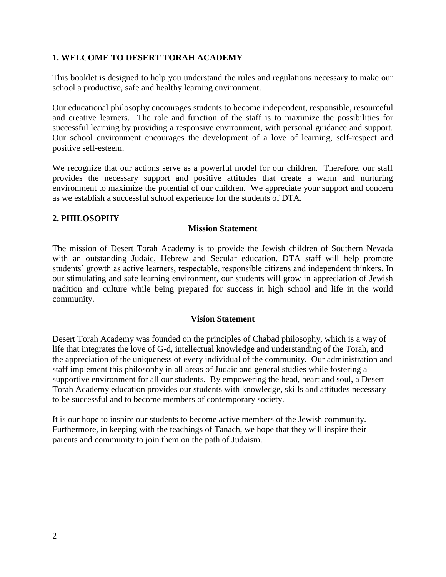#### **1. WELCOME TO DESERT TORAH ACADEMY**

This booklet is designed to help you understand the rules and regulations necessary to make our school a productive, safe and healthy learning environment.

Our educational philosophy encourages students to become independent, responsible, resourceful and creative learners. The role and function of the staff is to maximize the possibilities for successful learning by providing a responsive environment, with personal guidance and support. Our school environment encourages the development of a love of learning, self-respect and positive self-esteem.

We recognize that our actions serve as a powerful model for our children. Therefore, our staff provides the necessary support and positive attitudes that create a warm and nurturing environment to maximize the potential of our children. We appreciate your support and concern as we establish a successful school experience for the students of DTA.

#### **2. PHILOSOPHY**

#### **Mission Statement**

The mission of Desert Torah Academy is to provide the Jewish children of Southern Nevada with an outstanding Judaic, Hebrew and Secular education. DTA staff will help promote students' growth as active learners, respectable, responsible citizens and independent thinkers. In our stimulating and safe learning environment, our students will grow in appreciation of Jewish tradition and culture while being prepared for success in high school and life in the world community.

#### **Vision Statement**

Desert Torah Academy was founded on the principles of Chabad philosophy, which is a way of life that integrates the love of G-d, intellectual knowledge and understanding of the Torah, and the appreciation of the uniqueness of every individual of the community. Our administration and staff implement this philosophy in all areas of Judaic and general studies while fostering a supportive environment for all our students. By empowering the head, heart and soul, a Desert Torah Academy education provides our students with knowledge, skills and attitudes necessary to be successful and to become members of contemporary society.

It is our hope to inspire our students to become active members of the Jewish community. Furthermore, in keeping with the teachings of Tanach, we hope that they will inspire their parents and community to join them on the path of Judaism.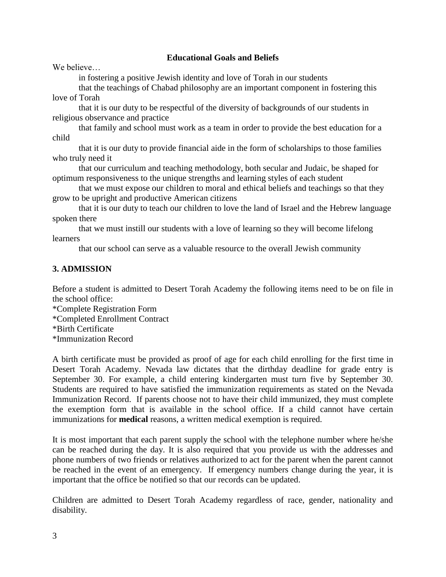#### **Educational Goals and Beliefs**

We believe

in fostering a positive Jewish identity and love of Torah in our students

that the teachings of Chabad philosophy are an important component in fostering this love of Torah

that it is our duty to be respectful of the diversity of backgrounds of our students in religious observance and practice

that family and school must work as a team in order to provide the best education for a child

that it is our duty to provide financial aide in the form of scholarships to those families who truly need it

that our curriculum and teaching methodology, both secular and Judaic, be shaped for optimum responsiveness to the unique strengths and learning styles of each student

that we must expose our children to moral and ethical beliefs and teachings so that they grow to be upright and productive American citizens

that it is our duty to teach our children to love the land of Israel and the Hebrew language spoken there

that we must instill our students with a love of learning so they will become lifelong learners

that our school can serve as a valuable resource to the overall Jewish community

## **3. ADMISSION**

Before a student is admitted to Desert Torah Academy the following items need to be on file in the school office:

\*Complete Registration Form

\*Completed Enrollment Contract

\*Birth Certificate

\*Immunization Record

A birth certificate must be provided as proof of age for each child enrolling for the first time in Desert Torah Academy. Nevada law dictates that the dirthday deadline for grade entry is September 30. For example, a child entering kindergarten must turn five by September 30. Students are required to have satisfied the immunization requirements as stated on the Nevada Immunization Record. If parents choose not to have their child immunized, they must complete the exemption form that is available in the school office. If a child cannot have certain immunizations for **medical** reasons, a written medical exemption is required.

It is most important that each parent supply the school with the telephone number where he/she can be reached during the day. It is also required that you provide us with the addresses and phone numbers of two friends or relatives authorized to act for the parent when the parent cannot be reached in the event of an emergency. If emergency numbers change during the year, it is important that the office be notified so that our records can be updated.

Children are admitted to Desert Torah Academy regardless of race, gender, nationality and disability.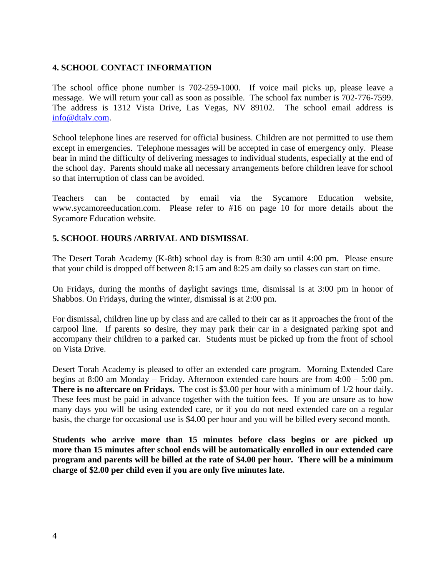### **4. SCHOOL CONTACT INFORMATION**

The school office phone number is 702-259-1000. If voice mail picks up, please leave a message. We will return your call as soon as possible. The school fax number is 702-776-7599. The address is 1312 Vista Drive, Las Vegas, NV 89102. The school email address is [info@dtalv.com.](mailto:info@dtalv.com)

School telephone lines are reserved for official business. Children are not permitted to use them except in emergencies. Telephone messages will be accepted in case of emergency only. Please bear in mind the difficulty of delivering messages to individual students, especially at the end of the school day. Parents should make all necessary arrangements before children leave for school so that interruption of class can be avoided.

Teachers can be contacted by email via the Sycamore Education website, www.sycamoreeducation.com. Please refer to #16 on page 10 for more details about the Sycamore Education website.

## **5. SCHOOL HOURS /ARRIVAL AND DISMISSAL**

The Desert Torah Academy (K-8th) school day is from 8:30 am until 4:00 pm. Please ensure that your child is dropped off between 8:15 am and 8:25 am daily so classes can start on time.

On Fridays, during the months of daylight savings time, dismissal is at 3:00 pm in honor of Shabbos. On Fridays, during the winter, dismissal is at 2:00 pm.

For dismissal, children line up by class and are called to their car as it approaches the front of the carpool line. If parents so desire, they may park their car in a designated parking spot and accompany their children to a parked car. Students must be picked up from the front of school on Vista Drive.

Desert Torah Academy is pleased to offer an extended care program. Morning Extended Care begins at 8:00 am Monday – Friday. Afternoon extended care hours are from 4:00 – 5:00 pm. **There is no aftercare on Fridays.** The cost is \$3.00 per hour with a minimum of 1/2 hour daily. These fees must be paid in advance together with the tuition fees. If you are unsure as to how many days you will be using extended care, or if you do not need extended care on a regular basis, the charge for occasional use is \$4.00 per hour and you will be billed every second month.

**Students who arrive more than 15 minutes before class begins or are picked up more than 15 minutes after school ends will be automatically enrolled in our extended care program and parents will be billed at the rate of \$4.00 per hour. There will be a minimum charge of \$2.00 per child even if you are only five minutes late.**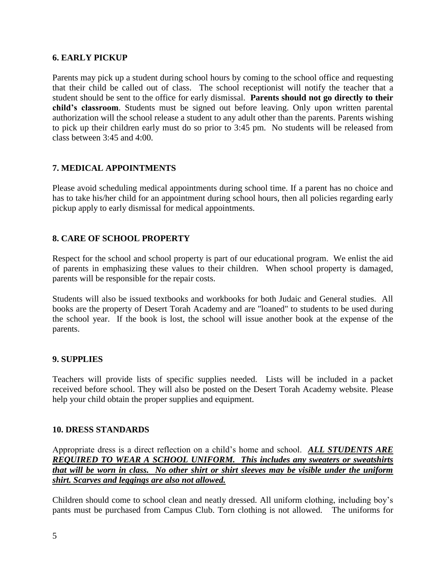#### **6. EARLY PICKUP**

Parents may pick up a student during school hours by coming to the school office and requesting that their child be called out of class. The school receptionist will notify the teacher that a student should be sent to the office for early dismissal. **Parents should not go directly to their child's classroom**. Students must be signed out before leaving. Only upon written parental authorization will the school release a student to any adult other than the parents. Parents wishing to pick up their children early must do so prior to 3:45 pm. No students will be released from class between 3:45 and 4:00.

### **7. MEDICAL APPOINTMENTS**

Please avoid scheduling medical appointments during school time. If a parent has no choice and has to take his/her child for an appointment during school hours, then all policies regarding early pickup apply to early dismissal for medical appointments.

## **8. CARE OF SCHOOL PROPERTY**

Respect for the school and school property is part of our educational program. We enlist the aid of parents in emphasizing these values to their children. When school property is damaged, parents will be responsible for the repair costs.

Students will also be issued textbooks and workbooks for both Judaic and General studies. All books are the property of Desert Torah Academy and are "loaned" to students to be used during the school year. If the book is lost, the school will issue another book at the expense of the parents.

#### **9. SUPPLIES**

Teachers will provide lists of specific supplies needed. Lists will be included in a packet received before school. They will also be posted on the Desert Torah Academy website. Please help your child obtain the proper supplies and equipment.

#### **10. DRESS STANDARDS**

Appropriate dress is a direct reflection on a child's home and school. *ALL STUDENTS ARE REQUIRED TO WEAR A SCHOOL UNIFORM. This includes any sweaters or sweatshirts that will be worn in class. No other shirt or shirt sleeves may be visible under the uniform shirt. Scarves and leggings are also not allowed.*

Children should come to school clean and neatly dressed. All uniform clothing, including boy's pants must be purchased from Campus Club. Torn clothing is not allowed. The uniforms for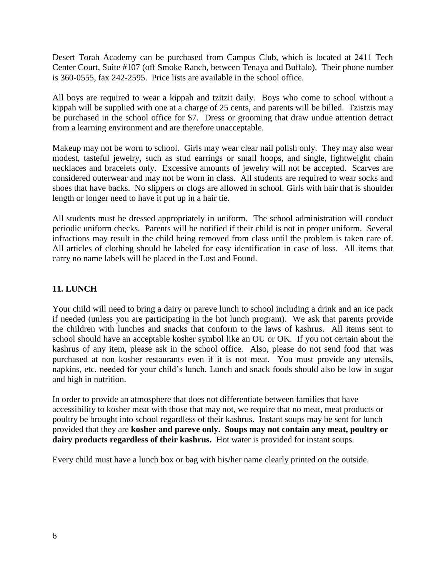Desert Torah Academy can be purchased from Campus Club, which is located at 2411 Tech Center Court, Suite #107 (off Smoke Ranch, between Tenaya and Buffalo). Their phone number is 360-0555, fax 242-2595. Price lists are available in the school office.

All boys are required to wear a kippah and tzitzit daily. Boys who come to school without a kippah will be supplied with one at a charge of 25 cents, and parents will be billed. Tzistzis may be purchased in the school office for \$7. Dress or grooming that draw undue attention detract from a learning environment and are therefore unacceptable.

Makeup may not be worn to school. Girls may wear clear nail polish only. They may also wear modest, tasteful jewelry, such as stud earrings or small hoops, and single, lightweight chain necklaces and bracelets only. Excessive amounts of jewelry will not be accepted. Scarves are considered outerwear and may not be worn in class. All students are required to wear socks and shoes that have backs. No slippers or clogs are allowed in school. Girls with hair that is shoulder length or longer need to have it put up in a hair tie.

All students must be dressed appropriately in uniform. The school administration will conduct periodic uniform checks. Parents will be notified if their child is not in proper uniform. Several infractions may result in the child being removed from class until the problem is taken care of. All articles of clothing should be labeled for easy identification in case of loss. All items that carry no name labels will be placed in the Lost and Found.

## **11. LUNCH**

Your child will need to bring a dairy or pareve lunch to school including a drink and an ice pack if needed (unless you are participating in the hot lunch program). We ask that parents provide the children with lunches and snacks that conform to the laws of kashrus. All items sent to school should have an acceptable kosher symbol like an OU or OK. If you not certain about the kashrus of any item, please ask in the school office. Also, please do not send food that was purchased at non kosher restaurants even if it is not meat. You must provide any utensils, napkins, etc. needed for your child's lunch. Lunch and snack foods should also be low in sugar and high in nutrition.

In order to provide an atmosphere that does not differentiate between families that have accessibility to kosher meat with those that may not, we require that no meat, meat products or poultry be brought into school regardless of their kashrus. Instant soups may be sent for lunch provided that they are **kosher and pareve only. Soups may not contain any meat, poultry or dairy products regardless of their kashrus.** Hot water is provided for instant soups.

Every child must have a lunch box or bag with his/her name clearly printed on the outside.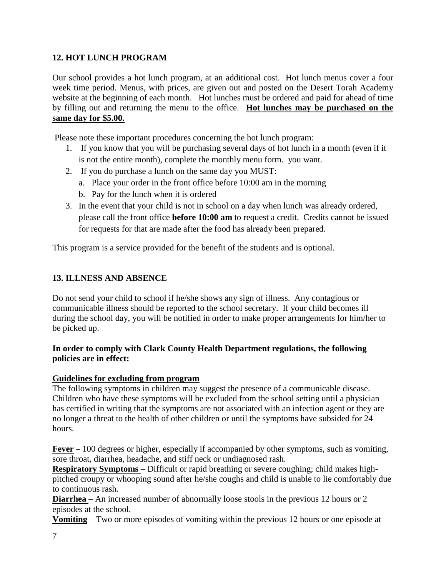## **12. HOT LUNCH PROGRAM**

Our school provides a hot lunch program, at an additional cost. Hot lunch menus cover a four week time period. Menus, with prices, are given out and posted on the Desert Torah Academy website at the beginning of each month. Hot lunches must be ordered and paid for ahead of time by filling out and returning the menu to the office. **Hot lunches may be purchased on the same day for \$5.00.** 

Please note these important procedures concerning the hot lunch program:

- 1. If you know that you will be purchasing several days of hot lunch in a month (even if it is not the entire month), complete the monthly menu form. you want.
- 2. If you do purchase a lunch on the same day you MUST:
	- a. Place your order in the front office before 10:00 am in the morning
	- b. Pay for the lunch when it is ordered
- 3. In the event that your child is not in school on a day when lunch was already ordered, please call the front office **before 10:00 am** to request a credit. Credits cannot be issued for requests for that are made after the food has already been prepared.

This program is a service provided for the benefit of the students and is optional.

### **13. ILLNESS AND ABSENCE**

Do not send your child to school if he/she shows any sign of illness. Any contagious or communicable illness should be reported to the school secretary. If your child becomes ill during the school day, you will be notified in order to make proper arrangements for him/her to be picked up.

#### **In order to comply with Clark County Health Department regulations, the following policies are in effect:**

#### **Guidelines for excluding from program**

The following symptoms in children may suggest the presence of a communicable disease. Children who have these symptoms will be excluded from the school setting until a physician has certified in writing that the symptoms are not associated with an infection agent or they are no longer a threat to the health of other children or until the symptoms have subsided for 24 hours.

**Fever** – 100 degrees or higher, especially if accompanied by other symptoms, such as vomiting, sore throat, diarrhea, headache, and stiff neck or undiagnosed rash.

**Respiratory Symptoms** – Difficult or rapid breathing or severe coughing; child makes highpitched croupy or whooping sound after he/she coughs and child is unable to lie comfortably due to continuous rash.

**Diarrhea** – An increased number of abnormally loose stools in the previous 12 hours or 2 episodes at the school.

**Vomiting** – Two or more episodes of vomiting within the previous 12 hours or one episode at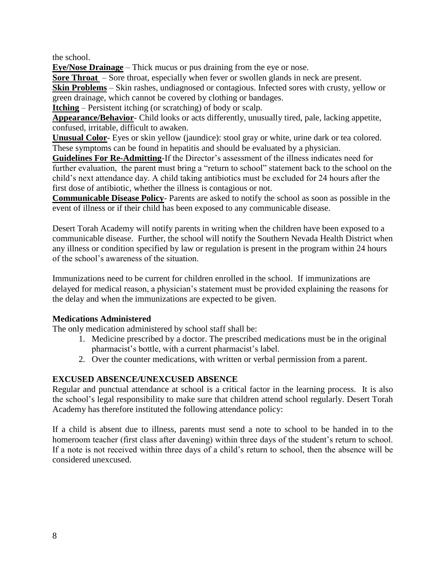the school.

**Eye/Nose Drainage** – Thick mucus or pus draining from the eye or nose.

**Sore Throat** – Sore throat, especially when fever or swollen glands in neck are present.

**Skin Problems** – Skin rashes, undiagnosed or contagious. Infected sores with crusty, yellow or green drainage, which cannot be covered by clothing or bandages.

**Itching** – Persistent itching (or scratching) of body or scalp.

**Appearance/Behavior**- Child looks or acts differently, unusually tired, pale, lacking appetite, confused, irritable, difficult to awaken.

**Unusual Color**- Eyes or skin yellow (jaundice): stool gray or white, urine dark or tea colored. These symptoms can be found in hepatitis and should be evaluated by a physician.

**Guidelines For Re-Admitting**-If the Director's assessment of the illness indicates need for further evaluation, the parent must bring a "return to school" statement back to the school on the child's next attendance day. A child taking antibiotics must be excluded for 24 hours after the first dose of antibiotic, whether the illness is contagious or not.

**Communicable Disease Policy**- Parents are asked to notify the school as soon as possible in the event of illness or if their child has been exposed to any communicable disease.

Desert Torah Academy will notify parents in writing when the children have been exposed to a communicable disease. Further, the school will notify the Southern Nevada Health District when any illness or condition specified by law or regulation is present in the program within 24 hours of the school's awareness of the situation.

Immunizations need to be current for children enrolled in the school. If immunizations are delayed for medical reason, a physician's statement must be provided explaining the reasons for the delay and when the immunizations are expected to be given.

## **Medications Administered**

The only medication administered by school staff shall be:

- 1. Medicine prescribed by a doctor. The prescribed medications must be in the original pharmacist's bottle, with a current pharmacist's label.
- 2. Over the counter medications, with written or verbal permission from a parent.

## **EXCUSED ABSENCE/UNEXCUSED ABSENCE**

Regular and punctual attendance at school is a critical factor in the learning process. It is also the school's legal responsibility to make sure that children attend school regularly. Desert Torah Academy has therefore instituted the following attendance policy:

If a child is absent due to illness, parents must send a note to school to be handed in to the homeroom teacher (first class after davening) within three days of the student's return to school. If a note is not received within three days of a child's return to school, then the absence will be considered unexcused.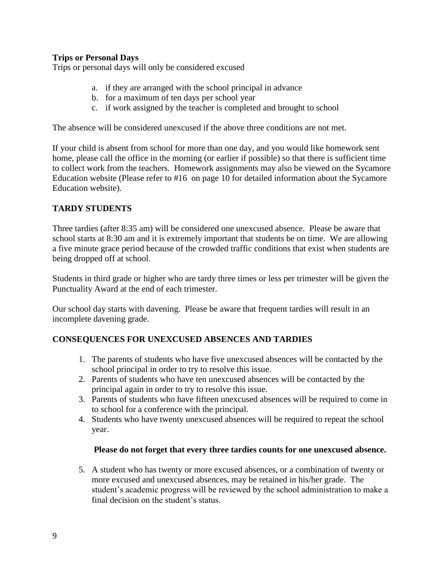#### **Trips or Personal Days**

Trips or personal days will only be considered excused

- a. if they are arranged with the school principal in advance
- b. for a maximum of ten days per school year
- c. if work assigned by the teacher is completed and brought to school

The absence will be considered unexcused if the above three conditions are not met.

If your child is absent from school for more than one day, and you would like homework sent home, please call the office in the morning (or earlier if possible) so that there is sufficient time to collect work from the teachers. Homework assignments may also be viewed on the Sycamore Education website (Please refer to #16 on page 10 for detailed information about the Sycamore Education website).

#### **TARDY STUDENTS**

Three tardies (after 8:35 am) will be considered one unexcused absence. Please be aware that school starts at 8:30 am and it is extremely important that students be on time. We are allowing a five minute grace period because of the crowded traffic conditions that exist when students are being dropped off at school.

Students in third grade or higher who are tardy three times or less per trimester will be given the Punctuality Award at the end of each trimester.

Our school day starts with davening. Please be aware that frequent tardies will result in an incomplete davening grade.

### **CONSEQUENCES FOR UNEXCUSED ABSENCES AND TARDIES**

- 1. The parents of students who have five unexcused absences will be contacted by the school principal in order to try to resolve this issue.
- 2. Parents of students who have ten unexcused absences will be contacted by the principal again in order to try to resolve this issue.
- 3. Parents of students who have fifteen unexcused absences will be required to come in to school for a conference with the principal.
- 4. Students who have twenty unexcused absences will be required to repeat the school year.

#### **Please do not forget that every three tardies counts for one unexcused absence.**

5. A student who has twenty or more excused absences, or a combination of twenty or more excused and unexcused absences, may be retained in his/her grade. The student's academic progress will be reviewed by the school administration to make a final decision on the student's status.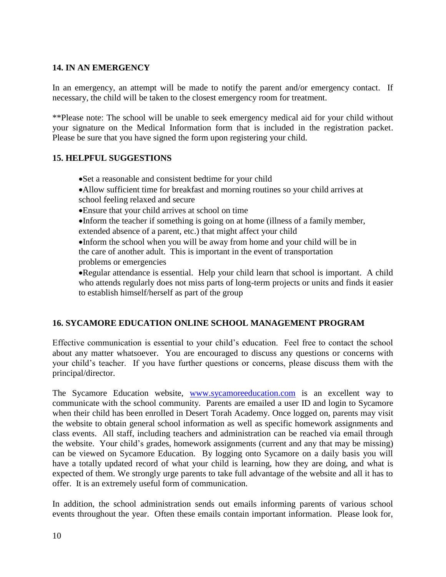## **14. IN AN EMERGENCY**

In an emergency, an attempt will be made to notify the parent and/or emergency contact. If necessary, the child will be taken to the closest emergency room for treatment.

\*\*Please note: The school will be unable to seek emergency medical aid for your child without your signature on the Medical Information form that is included in the registration packet. Please be sure that you have signed the form upon registering your child.

#### **15. HELPFUL SUGGESTIONS**

- Set a reasonable and consistent bedtime for your child
- Allow sufficient time for breakfast and morning routines so your child arrives at school feeling relaxed and secure
- Ensure that your child arrives at school on time

Inform the teacher if something is going on at home (illness of a family member, extended absence of a parent, etc.) that might affect your child

Inform the school when you will be away from home and your child will be in the care of another adult. This is important in the event of transportation problems or emergencies

Regular attendance is essential. Help your child learn that school is important. A child who attends regularly does not miss parts of long-term projects or units and finds it easier to establish himself/herself as part of the group

### **16. SYCAMORE EDUCATION ONLINE SCHOOL MANAGEMENT PROGRAM**

Effective communication is essential to your child's education. Feel free to contact the school about any matter whatsoever. You are encouraged to discuss any questions or concerns with your child's teacher. If you have further questions or concerns, please discuss them with the principal/director.

The Sycamore Education website, [www.sycamoreeducation.com](http://www.sycamoreeducation.com/) is an excellent way to communicate with the school community. Parents are emailed a user ID and login to Sycamore when their child has been enrolled in Desert Torah Academy. Once logged on, parents may visit the website to obtain general school information as well as specific homework assignments and class events. All staff, including teachers and administration can be reached via email through the website. Your child's grades, homework assignments (current and any that may be missing) can be viewed on Sycamore Education. By logging onto Sycamore on a daily basis you will have a totally updated record of what your child is learning, how they are doing, and what is expected of them. We strongly urge parents to take full advantage of the website and all it has to offer. It is an extremely useful form of communication.

In addition, the school administration sends out emails informing parents of various school events throughout the year. Often these emails contain important information. Please look for,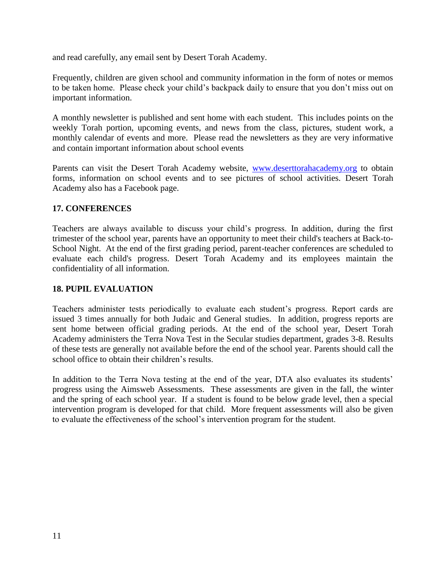and read carefully, any email sent by Desert Torah Academy.

Frequently, children are given school and community information in the form of notes or memos to be taken home. Please check your child's backpack daily to ensure that you don't miss out on important information.

A monthly newsletter is published and sent home with each student. This includes points on the weekly Torah portion, upcoming events, and news from the class, pictures, student work, a monthly calendar of events and more. Please read the newsletters as they are very informative and contain important information about school events

Parents can visit the Desert Torah Academy website, [www.deserttorahacademy.org](http://www.deserttorahacademy.org/) to obtain forms, information on school events and to see pictures of school activities. Desert Torah Academy also has a Facebook page.

### **17. CONFERENCES**

Teachers are always available to discuss your child's progress. In addition, during the first trimester of the school year, parents have an opportunity to meet their child's teachers at Back-to-School Night. At the end of the first grading period, parent-teacher conferences are scheduled to evaluate each child's progress. Desert Torah Academy and its employees maintain the confidentiality of all information.

#### **18. PUPIL EVALUATION**

Teachers administer tests periodically to evaluate each student's progress. Report cards are issued 3 times annually for both Judaic and General studies. In addition, progress reports are sent home between official grading periods. At the end of the school year, Desert Torah Academy administers the Terra Nova Test in the Secular studies department, grades 3-8. Results of these tests are generally not available before the end of the school year. Parents should call the school office to obtain their children's results.

In addition to the Terra Nova testing at the end of the year, DTA also evaluates its students' progress using the Aimsweb Assessments. These assessments are given in the fall, the winter and the spring of each school year. If a student is found to be below grade level, then a special intervention program is developed for that child. More frequent assessments will also be given to evaluate the effectiveness of the school's intervention program for the student.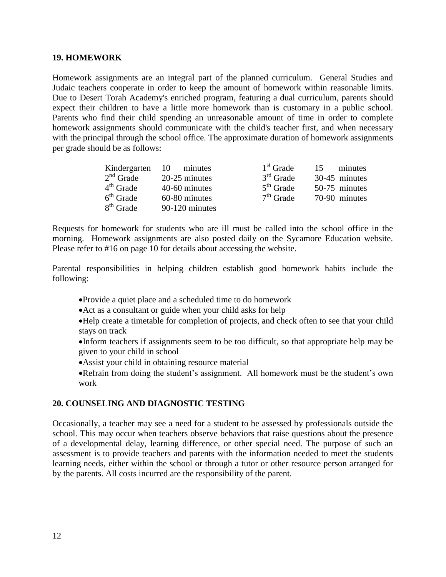#### **19. HOMEWORK**

Homework assignments are an integral part of the planned curriculum. General Studies and Judaic teachers cooperate in order to keep the amount of homework within reasonable limits. Due to Desert Torah Academy's enriched program, featuring a dual curriculum, parents should expect their children to have a little more homework than is customary in a public school. Parents who find their child spending an unreasonable amount of time in order to complete homework assignments should communicate with the child's teacher first, and when necessary with the principal through the school office. The approximate duration of homework assignments per grade should be as follows:

|             | Kindergarten 10 minutes | $1st$ Grade | minutes<br>15. |
|-------------|-------------------------|-------------|----------------|
| $2nd$ Grade | 20-25 minutes           | $3rd$ Grade | 30-45 minutes  |
| $4th$ Grade | 40-60 minutes           | $5th$ Grade | 50-75 minutes  |
| $6th$ Grade | 60-80 minutes           | $7th$ Grade | 70-90 minutes  |
| $8th$ Grade | 90-120 minutes          |             |                |

Requests for homework for students who are ill must be called into the school office in the morning. Homework assignments are also posted daily on the Sycamore Education website. Please refer to #16 on page 10 for details about accessing the website.

Parental responsibilities in helping children establish good homework habits include the following:

- Provide a quiet place and a scheduled time to do homework
- Act as a consultant or guide when your child asks for help
- Help create a timetable for completion of projects, and check often to see that your child stays on track
- Inform teachers if assignments seem to be too difficult, so that appropriate help may be given to your child in school
- Assist your child in obtaining resource material
- Refrain from doing the student's assignment. All homework must be the student's own work

#### **20. COUNSELING AND DIAGNOSTIC TESTING**

Occasionally, a teacher may see a need for a student to be assessed by professionals outside the school. This may occur when teachers observe behaviors that raise questions about the presence of a developmental delay, learning difference, or other special need. The purpose of such an assessment is to provide teachers and parents with the information needed to meet the students learning needs, either within the school or through a tutor or other resource person arranged for by the parents. All costs incurred are the responsibility of the parent.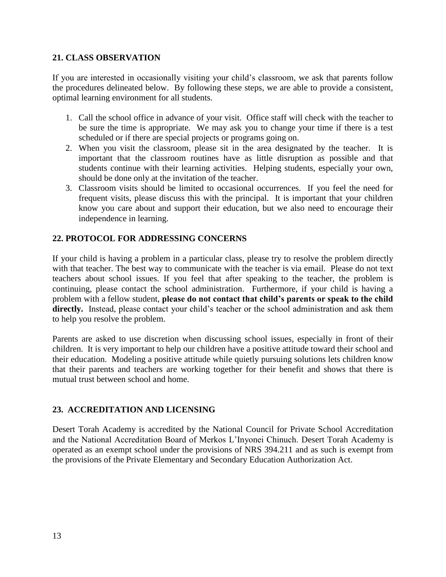#### **21. CLASS OBSERVATION**

If you are interested in occasionally visiting your child's classroom, we ask that parents follow the procedures delineated below. By following these steps, we are able to provide a consistent, optimal learning environment for all students.

- 1. Call the school office in advance of your visit. Office staff will check with the teacher to be sure the time is appropriate. We may ask you to change your time if there is a test scheduled or if there are special projects or programs going on.
- 2. When you visit the classroom, please sit in the area designated by the teacher. It is important that the classroom routines have as little disruption as possible and that students continue with their learning activities. Helping students, especially your own, should be done only at the invitation of the teacher.
- 3. Classroom visits should be limited to occasional occurrences. If you feel the need for frequent visits, please discuss this with the principal. It is important that your children know you care about and support their education, but we also need to encourage their independence in learning.

## **22. PROTOCOL FOR ADDRESSING CONCERNS**

If your child is having a problem in a particular class, please try to resolve the problem directly with that teacher. The best way to communicate with the teacher is via email. Please do not text teachers about school issues. If you feel that after speaking to the teacher, the problem is continuing, please contact the school administration. Furthermore, if your child is having a problem with a fellow student, **please do not contact that child's parents or speak to the child directly.** Instead, please contact your child's teacher or the school administration and ask them to help you resolve the problem.

Parents are asked to use discretion when discussing school issues, especially in front of their children. It is very important to help our children have a positive attitude toward their school and their education. Modeling a positive attitude while quietly pursuing solutions lets children know that their parents and teachers are working together for their benefit and shows that there is mutual trust between school and home.

### **23. ACCREDITATION AND LICENSING**

Desert Torah Academy is accredited by the National Council for Private School Accreditation and the National Accreditation Board of Merkos L'Inyonei Chinuch. Desert Torah Academy is operated as an exempt school under the provisions of NRS 394.211 and as such is exempt from the provisions of the Private Elementary and Secondary Education Authorization Act.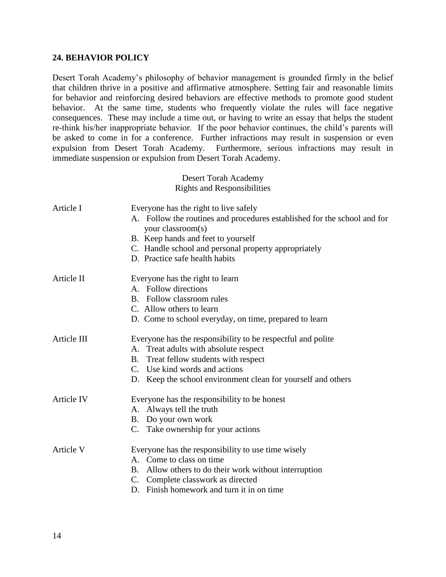#### **24. BEHAVIOR POLICY**

Desert Torah Academy's philosophy of behavior management is grounded firmly in the belief that children thrive in a positive and affirmative atmosphere. Setting fair and reasonable limits for behavior and reinforcing desired behaviors are effective methods to promote good student behavior. At the same time, students who frequently violate the rules will face negative consequences. These may include a time out, or having to write an essay that helps the student re-think his/her inappropriate behavior. If the poor behavior continues, the child's parents will be asked to come in for a conference. Further infractions may result in suspension or even expulsion from Desert Torah Academy. Furthermore, serious infractions may result in immediate suspension or expulsion from Desert Torah Academy.

> Desert Torah Academy Rights and Responsibilities

| Article I         | Everyone has the right to live safely<br>A. Follow the routines and procedures established for the school and for<br>your classroom(s)<br>B. Keep hands and feet to yourself<br>C. Handle school and personal property appropriately<br>D. Practice safe health habits |  |
|-------------------|------------------------------------------------------------------------------------------------------------------------------------------------------------------------------------------------------------------------------------------------------------------------|--|
| Article II        | Everyone has the right to learn<br>A. Follow directions<br>B. Follow classroom rules<br>C. Allow others to learn<br>D. Come to school everyday, on time, prepared to learn                                                                                             |  |
| Article III       | Everyone has the responsibility to be respectful and polite<br>A. Treat adults with absolute respect<br>B. Treat fellow students with respect<br>C. Use kind words and actions<br>D. Keep the school environment clean for yourself and others                         |  |
| <b>Article IV</b> | Everyone has the responsibility to be honest<br>A. Always tell the truth<br>B. Do your own work<br>C. Take ownership for your actions                                                                                                                                  |  |
| Article V         | Everyone has the responsibility to use time wisely<br>A. Come to class on time<br>B. Allow others to do their work without interruption<br>C. Complete classwork as directed<br>D. Finish homework and turn it in on time.                                             |  |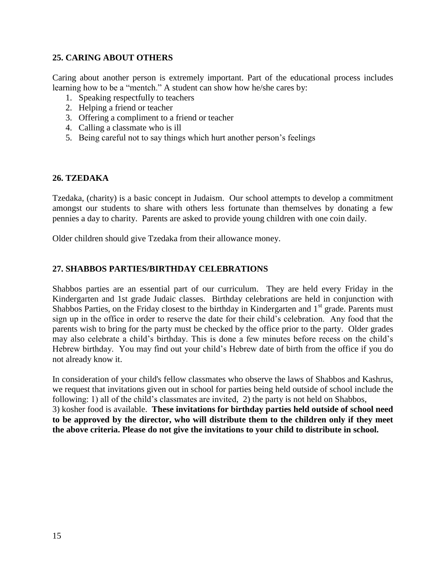#### **25. CARING ABOUT OTHERS**

Caring about another person is extremely important. Part of the educational process includes learning how to be a "mentch." A student can show how he/she cares by:

- 1. Speaking respectfully to teachers
- 2. Helping a friend or teacher
- 3. Offering a compliment to a friend or teacher
- 4. Calling a classmate who is ill
- 5. Being careful not to say things which hurt another person's feelings

#### **26. TZEDAKA**

Tzedaka, (charity) is a basic concept in Judaism. Our school attempts to develop a commitment amongst our students to share with others less fortunate than themselves by donating a few pennies a day to charity. Parents are asked to provide young children with one coin daily.

Older children should give Tzedaka from their allowance money.

#### **27. SHABBOS PARTIES/BIRTHDAY CELEBRATIONS**

Shabbos parties are an essential part of our curriculum. They are held every Friday in the Kindergarten and 1st grade Judaic classes. Birthday celebrations are held in conjunction with Shabbos Parties, on the Friday closest to the birthday in Kindergarten and  $1<sup>st</sup>$  grade. Parents must sign up in the office in order to reserve the date for their child's celebration. Any food that the parents wish to bring for the party must be checked by the office prior to the party. Older grades may also celebrate a child's birthday. This is done a few minutes before recess on the child's Hebrew birthday. You may find out your child's Hebrew date of birth from the office if you do not already know it.

In consideration of your child's fellow classmates who observe the laws of Shabbos and Kashrus, we request that invitations given out in school for parties being held outside of school include the following: 1) all of the child's classmates are invited, 2) the party is not held on Shabbos, 3) kosher food is available. **These invitations for birthday parties held outside of school need to be approved by the director, who will distribute them to the children only if they meet the above criteria. Please do not give the invitations to your child to distribute in school.**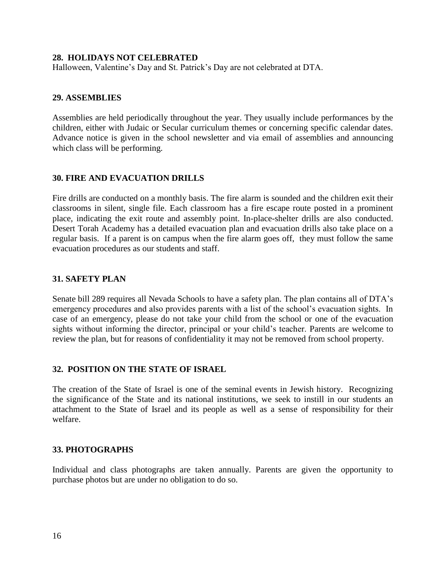#### **28. HOLIDAYS NOT CELEBRATED**

Halloween, Valentine's Day and St. Patrick's Day are not celebrated at DTA.

#### **29. ASSEMBLIES**

Assemblies are held periodically throughout the year. They usually include performances by the children, either with Judaic or Secular curriculum themes or concerning specific calendar dates. Advance notice is given in the school newsletter and via email of assemblies and announcing which class will be performing.

#### **30. FIRE AND EVACUATION DRILLS**

Fire drills are conducted on a monthly basis. The fire alarm is sounded and the children exit their classrooms in silent, single file. Each classroom has a fire escape route posted in a prominent place, indicating the exit route and assembly point. In-place-shelter drills are also conducted. Desert Torah Academy has a detailed evacuation plan and evacuation drills also take place on a regular basis. If a parent is on campus when the fire alarm goes off, they must follow the same evacuation procedures as our students and staff.

#### **31. SAFETY PLAN**

Senate bill 289 requires all Nevada Schools to have a safety plan. The plan contains all of DTA's emergency procedures and also provides parents with a list of the school's evacuation sights. In case of an emergency, please do not take your child from the school or one of the evacuation sights without informing the director, principal or your child's teacher. Parents are welcome to review the plan, but for reasons of confidentiality it may not be removed from school property.

### **32. POSITION ON THE STATE OF ISRAEL**

The creation of the State of Israel is one of the seminal events in Jewish history. Recognizing the significance of the State and its national institutions, we seek to instill in our students an attachment to the State of Israel and its people as well as a sense of responsibility for their welfare.

#### **33. PHOTOGRAPHS**

Individual and class photographs are taken annually. Parents are given the opportunity to purchase photos but are under no obligation to do so.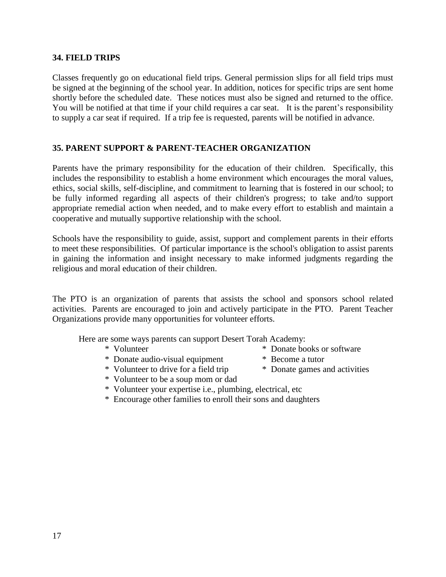#### **34. FIELD TRIPS**

Classes frequently go on educational field trips. General permission slips for all field trips must be signed at the beginning of the school year. In addition, notices for specific trips are sent home shortly before the scheduled date. These notices must also be signed and returned to the office. You will be notified at that time if your child requires a car seat. It is the parent's responsibility to supply a car seat if required. If a trip fee is requested, parents will be notified in advance.

#### **35. PARENT SUPPORT & PARENT-TEACHER ORGANIZATION**

Parents have the primary responsibility for the education of their children. Specifically, this includes the responsibility to establish a home environment which encourages the moral values, ethics, social skills, self-discipline, and commitment to learning that is fostered in our school; to be fully informed regarding all aspects of their children's progress; to take and/to support appropriate remedial action when needed, and to make every effort to establish and maintain a cooperative and mutually supportive relationship with the school.

Schools have the responsibility to guide, assist, support and complement parents in their efforts to meet these responsibilities. Of particular importance is the school's obligation to assist parents in gaining the information and insight necessary to make informed judgments regarding the religious and moral education of their children.

The PTO is an organization of parents that assists the school and sponsors school related activities. Parents are encouraged to join and actively participate in the PTO. Parent Teacher Organizations provide many opportunities for volunteer efforts.

Here are some ways parents can support Desert Torah Academy:

- 
- \* Volunteer \* Donate books or software
- \* Donate audio-visual equipment \* Become a tutor
- \* Volunteer to drive for a field trip \* Donate games and activities
- \* Volunteer to be a soup mom or dad
- \* Volunteer your expertise i.e., plumbing, electrical, etc
- \* Encourage other families to enroll their sons and daughters